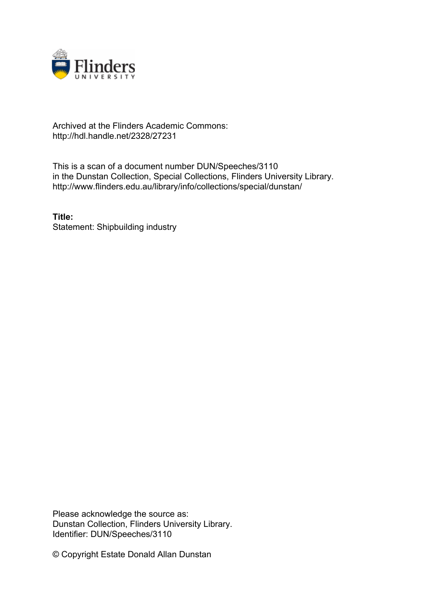

## Archived at the Flinders Academic Commons: http://hdl.handle.net/2328/27231

This is a scan of a document number DUN/Speeches/3110 in the Dunstan Collection, Special Collections, Flinders University Library. http://www.flinders.edu.au/library/info/collections/special/dunstan/

**Title:** Statement: Shipbuilding industry

Please acknowledge the source as: Dunstan Collection, Flinders University Library. Identifier: DUN/Speeches/3110

© Copyright Estate Donald Allan Dunstan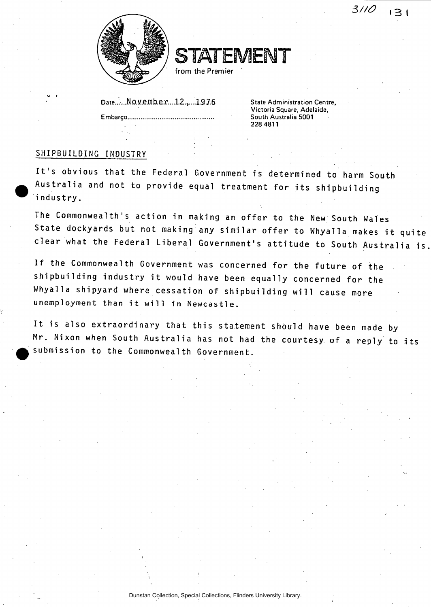3110  $\overline{1}$  3  $\overline{1}$ 



**STATEMENT** 

**from the Premier** 

**Date..,.:.** No.y.ejj]he.r....l2.,.. ..13Z6 **State Administration Centre,** 

**Embargo.** 

**Victoria Square, Adelaide, South Australia 5001 228 4811** 

## SHIPBUILDING INDUSTRY

It's obvious that the Federal Government is determined to harm South Australia and not to provide equal treatment for its shipbuilding industry.

The Commonwealth's action in making an offer to the New South Wales State dockyards but not making any similar offer to Whyalla makes it quite clear what the Federal Liberal Government's attitude to South Australia is

If the Commonwealth Government was concerned for the future of the shipbuilding industry it would have been equally concerned for the Whyalla shipyard where cessation of shipbuilding'wi11 cause more unemployment than it will in Newcastle.

It is also extraordinary that this statement should have been made by Mr. Nixon when South Australia has not had the courtesy of a reply to its submission to the Commonwealth Government.